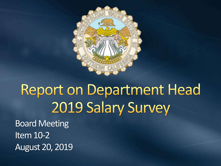

## Report on Department Head 2019 Salary Survey

Board Meeting Item 10-2 August 20, 2019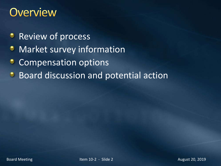#### **Overview**

- **Review of process**
- Market survey information ۰
- Compensation options ٥
- Board discussion and potential action $\bullet$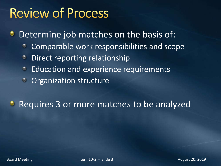#### **Review of Process**

Determine job matches on the basis of: ٠

- Comparable work responsibilities and scope ۰
- Direct reporting relationship  $\bullet$
- Education and experience requirements  $\bullet$
- Organization structure  $\bullet$

**B** Requires 3 or more matches to be analyzed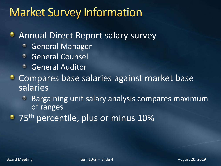#### **Market Survey Information**

#### **Annual Direct Report salary survey**

- General Manager Ø
- General Counsel  $\bullet$
- General Auditor
- **Compares base salaries against market base** salaries
	- Bargaining unit salary analysis compares maximum  $\bullet$ of ranges
- **75<sup>th</sup> percentile, plus or minus 10%**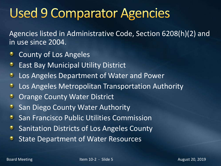## **Used 9 Comparator Agencies**

Agencies listed in Administrative Code, Section 6208(h)(2) and in use since 2004.

- County of Los Angeles ಿ
- East Bay Municipal Utility District  $\bullet$
- Los Angeles Department of Water and Power  $\bullet$
- Los Angeles Metropolitan Transportation Authority  $\bullet$
- $\bullet$ Orange County Water District
- San Diego County Water Authority  $\bullet$
- San Francisco Public Utilities Commission ٠
- Sanitation Districts of Los Angeles County ٠
- State Department of Water Resources٠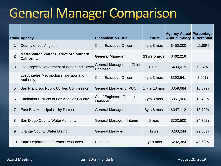#### **General Manager Comparison**

|              | <b>Rank Agency</b>                                                  | <b>Classification Title</b>                  | <b>Tenure</b> | <b>Agency Actual Percentage</b><br><b>Annual Salary Differential</b> |           |
|--------------|---------------------------------------------------------------------|----------------------------------------------|---------------|----------------------------------------------------------------------|-----------|
| 1            | County of Los Angeles                                               | <b>Chief Executive Officer</b>               | 4yrs 8 mos    | \$450,000                                                            | $-11.88%$ |
| $\mathbf{2}$ | <b>Metropolitan Water District of Southern</b><br><b>California</b> | <b>General Manager</b>                       | 13yrs 5 mos   | \$402,210                                                            |           |
| $\mathbf{3}$ | Los Angeles Department of Water and Power                           | <b>General Manager and Chief</b><br>Engineer | $< 1$ mo      | \$400,019                                                            | 0.54%     |
| 4            | Los Angeles Metropolitan Transportation<br>Authority                | <b>Chief Executive Officer</b>               | 4yrs 3 mos    | \$390,541                                                            | 2.90%     |
| 5            | San Francisco Public Utilities Commission                           | <b>General Manager of PUC</b>                | 14yrs 10 mos  | \$359,684                                                            | 10.57%    |
| 6            | Sanitation Districts of Los Angeles County                          | <b>Chief Engineer - General</b><br>Manager   | 7yrs 3 mos    | \$351,960                                                            | 12.49%    |
| 7            | <b>East Bay Municipal Utility District</b>                          | <b>General Manager</b>                       | 8yrs 6 mos    | \$347,112                                                            | 13.70%    |
| 8            | San Diego County Water Authority                                    | General Manager - Interim                    | 5 mos         | \$302,500                                                            | 24.79%    |
| 9            | <b>Orange County Water District</b>                                 | <b>General Manager</b>                       | 12yrs         | \$283,244                                                            | 29.58%    |
| 10           | <b>State Department of Water Resources</b>                          | Director                                     | 1yr 8 mos     | \$202,384                                                            | 49.68%    |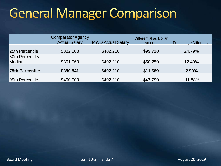## **General Manager Comparison**

|                            | <b>Comparator Agency</b><br><b>Actual Salary</b> | <b>MWD Actual Salary</b> | <b>Differential as Dollar</b><br>Amount | Percentage Differential |
|----------------------------|--------------------------------------------------|--------------------------|-----------------------------------------|-------------------------|
| 25th Percentile            | \$302,500                                        | \$402,210                | \$99,710                                | 24.79%                  |
| 50th Percentile/<br>Median | \$351,960                                        | \$402,210                | \$50,250                                | 12.49%                  |
| <b>75th Percentile</b>     | \$390,541                                        | \$402,210                | \$11,669                                | 2.90%                   |
| 99th Percentile            | \$450,000                                        | \$402,210                | \$47,790                                | $-11.88%$               |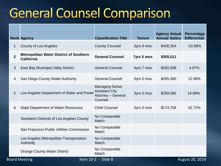#### **General Counsel Comparison**

B

|                | <b>Rank Agency</b>                                                  | <b>Classification Title</b>                                                             | <b>Tenure</b> | <b>Agency Actual</b><br><b>Annual Salary</b> | Percentage<br><b>Differential</b> |
|----------------|---------------------------------------------------------------------|-----------------------------------------------------------------------------------------|---------------|----------------------------------------------|-----------------------------------|
| 1              | County of Los Angeles                                               | <b>County Counsel</b>                                                                   | 3yrs 9 mos    | \$408,354                                    | $-33.88%$                         |
| $\overline{2}$ | <b>Metropolitan Water District of Southern</b><br><b>California</b> | <b>General Counsel</b>                                                                  | 7yrs 5 mos    | \$305,011                                    |                                   |
| 3              | <b>East Bay Municipal Utility District</b>                          | <b>General Counsel</b>                                                                  | 4yrs 7 mos    | \$292,608                                    | 4.07%                             |
| 4              | San Diego County Water Authority                                    | <b>General Counsel</b>                                                                  | 3yrs 5 mos    | \$265,380                                    | 12.99%                            |
| 5              | Los Angeles Department of Water and Power                           | <b>Managing Senior</b><br><b>Assistant City</b><br><b>Attorney - General</b><br>Counsel | 3yrs 5 mos    | \$259,580                                    | 14.89%                            |
| 6              | <b>State Department of Water Resources</b>                          | <b>Chief Counsel</b>                                                                    | 3yrs 5 mos    | \$174,708                                    | 42.72%                            |
|                | Sanitation Districts of Los Angeles County                          | No Comparable<br>Match                                                                  |               |                                              |                                   |
|                | San Francisco Public Utilities Commission                           | No Comparable<br>Match                                                                  |               |                                              |                                   |
|                | Los Angeles Metropolitan Transportation<br><b>Authority</b>         | No Comparable<br><b>Match</b>                                                           |               |                                              |                                   |
|                | <b>Orange County Water District</b>                                 | No Comparable<br>Match                                                                  |               |                                              |                                   |
|                | oard Meeting                                                        | Item 10-2 - Slide 8                                                                     |               |                                              | <b>August 20, 2019</b>            |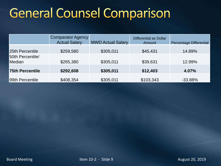## **General Counsel Comparison**

|                                   | <b>Comparator Agency</b><br><b>Actual Salary</b> | <b>MWD Actual Salary</b> | Differential as Dollar<br>Amount | <b>Percentage Differential</b> |
|-----------------------------------|--------------------------------------------------|--------------------------|----------------------------------|--------------------------------|
| 25th Percentile                   | \$259,580                                        | \$305,011                | \$45,431                         | 14.89%                         |
| 50th Percentile/<br><b>Median</b> | \$265,380                                        | \$305,011                | \$39,631                         | 12.99%                         |
| <b>75th Percentile</b>            | \$292,608                                        | \$305,011                | \$12,403                         | 4.07%                          |
| 99th Percentile                   | \$408,354                                        | \$305,011                | \$103,343                        | $-33.88%$                      |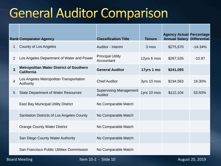#### **General Auditor Comparison**

|                | <b>Rank Comparator Agency</b>                                       | <b>Classification Title</b>                     | <b>Tenure</b> | <b>Agency Actual Percentage</b><br><b>Annual Salary Differential</b> |           |
|----------------|---------------------------------------------------------------------|-------------------------------------------------|---------------|----------------------------------------------------------------------|-----------|
| 1              | County of Los Angeles                                               | Auditor - Interim                               | 3 mos         | \$275,670                                                            | $-14.34%$ |
| 2              | Los Angeles Department of Water and Power                           | <b>Principal Utility</b><br>Accountant          | 12yrs 6 mos   | \$267,535                                                            | $-10.97$  |
| $\mathbf{3}$   | <b>Metropolitan Water District of Southern</b><br><b>California</b> | <b>General Auditor</b>                          | 17yrs 1 mo    | \$241,093                                                            |           |
| $\overline{4}$ | Los Angeles Metropolitan Transportation<br><b>Authority</b>         | <b>Chief Auditor</b>                            | 3yrs 10 mos   | \$194,563                                                            | 19.30%    |
| 5              | <b>State Department of Water Resources</b>                          | <b>Supervising Management</b><br><b>Auditor</b> | 1yrs 10 mos   | \$112,104                                                            | 53.50%    |
|                | <b>East Bay Municipal Utility District</b>                          | No Comparable Match                             |               |                                                                      |           |
|                | Sanitation Districts of Los Angeles County                          | No Comparable Match                             |               |                                                                      |           |
|                | <b>Orange County Water District</b>                                 | No Comparable Match                             |               |                                                                      |           |
|                | San Diego County Water Authority                                    | No Comparable Match                             |               |                                                                      |           |
|                | San Francisco Public Utilities Commission                           | No Comparable Match                             |               |                                                                      |           |

Board Meeting The Internal Section 10-2 - Slide 10 August 20, 2019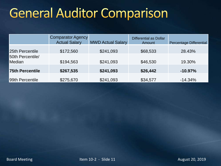## **General Auditor Comparison**

|                            | <b>Comparator Agency</b><br><b>Actual Salary</b> | <b>MWD Actual Salary</b> | <b>Differential as Dollar</b><br>Amount | <b>Percentage Differential</b> |
|----------------------------|--------------------------------------------------|--------------------------|-----------------------------------------|--------------------------------|
| 25th Percentile            | \$172,560                                        | \$241,093                | \$68,533                                | 28.43%                         |
| 50th Percentile/<br>Median | \$194,563                                        | \$241,093                | \$46,530                                | 19.30%                         |
| <b>75th Percentile</b>     | \$267,535                                        | \$241,093                | \$26,442                                | $-10.97%$                      |
| 99th Percentile            | \$275,670                                        | \$241,093                | \$34,577                                | $-14.34%$                      |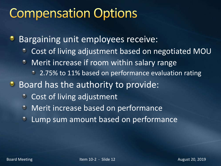## **Compensation Options**

Bargaining unit employees receive: ۰

- Cost of living adjustment based on negotiated MOU  $\bullet$
- Merit increase if room within salary range ۰
	- <sup>2</sup> 2.75% to 11% based on performance evaluation rating
- **Board has the authority to provide:** 
	- $\bullet$ Cost of living adjustment
	- Merit increase based on performance  $\bullet$
	- Lump sum amount based on performance $\bullet$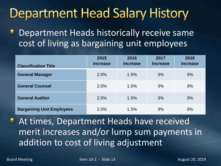#### **Department Head Salary History**

Department Heads historically receive same ಿ cost of living as bargaining unit employees

| <b>Classification Title</b>      | 2015<br><b>Increase</b> | 2016<br><b>Increase</b> | 2017<br><b>Increase</b> | 2018<br><b>Increase</b> |
|----------------------------------|-------------------------|-------------------------|-------------------------|-------------------------|
| <b>General Manager</b>           | 2.5%                    | 1.5%                    | 3%                      | 3%                      |
| <b>General Counsel</b>           | 2.5%                    | 1.5%                    | 3%                      | 3%                      |
| <b>General Auditor</b>           | 2.5%                    | 1.5%                    | 3%                      | 3%                      |
| <b>Bargaining Unit Employees</b> | 2.5%                    | 1.5%                    | 3%                      | 3%                      |

At times, Department Heads have received merit increases and/or lump sum payments in addition to cost of living adjustment